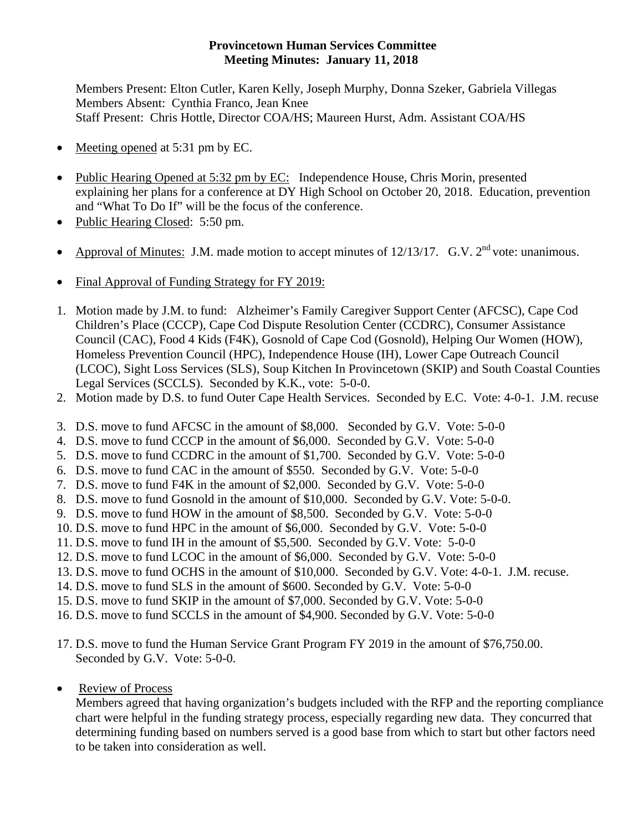## **Provincetown Human Services Committee Meeting Minutes: January 11, 2018**

Members Present: Elton Cutler, Karen Kelly, Joseph Murphy, Donna Szeker, Gabriela Villegas Members Absent: Cynthia Franco, Jean Knee Staff Present: Chris Hottle, Director COA/HS; Maureen Hurst, Adm. Assistant COA/HS

- Meeting opened at 5:31 pm by EC.
- Public Hearing Opened at 5:32 pm by EC: Independence House, Chris Morin, presented explaining her plans for a conference at DY High School on October 20, 2018. Education, prevention and "What To Do If" will be the focus of the conference.
- Public Hearing Closed: 5:50 pm.
- Approval of Minutes: J.M. made motion to accept minutes of  $12/13/17$ . G.V.  $2<sup>nd</sup>$  vote: unanimous.
- Final Approval of Funding Strategy for FY 2019:
- 1. Motion made by J.M. to fund: Alzheimer's Family Caregiver Support Center (AFCSC), Cape Cod Children's Place (CCCP), Cape Cod Dispute Resolution Center (CCDRC), Consumer Assistance Council (CAC), Food 4 Kids (F4K), Gosnold of Cape Cod (Gosnold), Helping Our Women (HOW), Homeless Prevention Council (HPC), Independence House (IH), Lower Cape Outreach Council (LCOC), Sight Loss Services (SLS), Soup Kitchen In Provincetown (SKIP) and South Coastal Counties Legal Services (SCCLS). Seconded by K.K., vote: 5-0-0.
- 2. Motion made by D.S. to fund Outer Cape Health Services. Seconded by E.C. Vote: 4-0-1. J.M. recuse
- 3. D.S. move to fund AFCSC in the amount of \$8,000. Seconded by G.V. Vote: 5-0-0
- 4. D.S. move to fund CCCP in the amount of \$6,000. Seconded by G.V. Vote: 5-0-0
- 5. D.S. move to fund CCDRC in the amount of \$1,700. Seconded by G.V. Vote: 5-0-0
- 6. D.S. move to fund CAC in the amount of \$550. Seconded by G.V. Vote: 5-0-0
- 7. D.S. move to fund F4K in the amount of \$2,000. Seconded by G.V. Vote: 5-0-0
- 8. D.S. move to fund Gosnold in the amount of \$10,000. Seconded by G.V. Vote: 5-0-0.
- 9. D.S. move to fund HOW in the amount of \$8,500. Seconded by G.V. Vote: 5-0-0
- 10. D.S. move to fund HPC in the amount of \$6,000. Seconded by G.V. Vote: 5-0-0
- 11. D.S. move to fund IH in the amount of \$5,500. Seconded by G.V. Vote: 5-0-0
- 12. D.S. move to fund LCOC in the amount of \$6,000. Seconded by G.V. Vote: 5-0-0
- 13. D.S. move to fund OCHS in the amount of \$10,000. Seconded by G.V. Vote: 4-0-1. J.M. recuse.
- 14. D.S. move to fund SLS in the amount of \$600. Seconded by G.V. Vote: 5-0-0
- 15. D.S. move to fund SKIP in the amount of \$7,000. Seconded by G.V. Vote: 5-0-0
- 16. D.S. move to fund SCCLS in the amount of \$4,900. Seconded by G.V. Vote: 5-0-0
- 17. D.S. move to fund the Human Service Grant Program FY 2019 in the amount of \$76,750.00. Seconded by G.V. Vote: 5-0-0.
- Review of Process

Members agreed that having organization's budgets included with the RFP and the reporting compliance chart were helpful in the funding strategy process, especially regarding new data. They concurred that determining funding based on numbers served is a good base from which to start but other factors need to be taken into consideration as well.